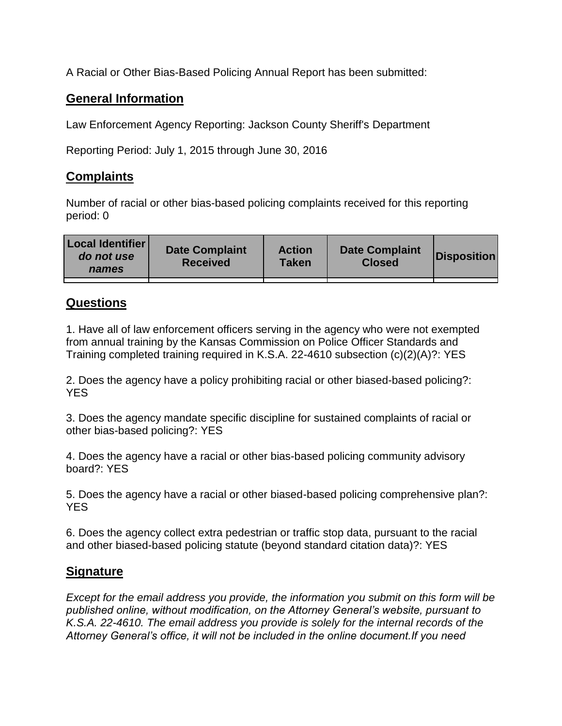A Racial or Other Bias-Based Policing Annual Report has been submitted:

## **General Information**

Law Enforcement Agency Reporting: Jackson County Sheriff's Department

Reporting Period: July 1, 2015 through June 30, 2016

## **Complaints**

Number of racial or other bias-based policing complaints received for this reporting period: 0

| <b>Local Identifier</b><br>do not use<br>names | <b>Date Complaint</b><br><b>Received</b> | <b>Action</b><br><b>Taken</b> | <b>Date Complaint</b><br><b>Closed</b> | Disposition |
|------------------------------------------------|------------------------------------------|-------------------------------|----------------------------------------|-------------|
|                                                |                                          |                               |                                        |             |

## **Questions**

1. Have all of law enforcement officers serving in the agency who were not exempted from annual training by the Kansas Commission on Police Officer Standards and Training completed training required in K.S.A. 22-4610 subsection (c)(2)(A)?: YES

2. Does the agency have a policy prohibiting racial or other biased-based policing?: YES

3. Does the agency mandate specific discipline for sustained complaints of racial or other bias-based policing?: YES

4. Does the agency have a racial or other bias-based policing community advisory board?: YES

5. Does the agency have a racial or other biased-based policing comprehensive plan?: YES

6. Does the agency collect extra pedestrian or traffic stop data, pursuant to the racial and other biased-based policing statute (beyond standard citation data)?: YES

## **Signature**

*Except for the email address you provide, the information you submit on this form will be published online, without modification, on the Attorney General's website, pursuant to K.S.A. 22-4610. The email address you provide is solely for the internal records of the Attorney General's office, it will not be included in the online document.If you need*